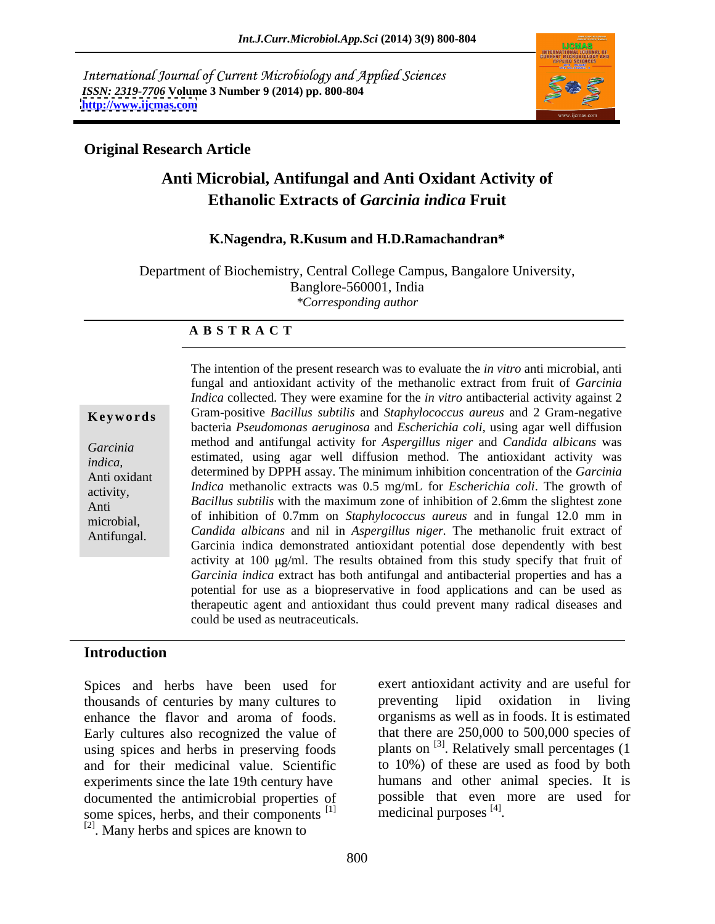International Journal of Current Microbiology and Applied Sciences *ISSN: 2319-7706* **Volume 3 Number 9 (2014) pp. 800-804 <http://www.ijcmas.com>**



### **Original Research Article**

# **Anti Microbial, Antifungal and Anti Oxidant Activity of Ethanolic Extracts of** *Garcinia indica* **Fruit**

### **K.Nagendra, R.Kusum and H.D.Ramachandran\***

Department of Biochemistry, Central College Campus, Bangalore University, Banglore-560001, India *\*Corresponding author* 

### **A B S T R A C T**

**Ke ywo rds** Gram-positive *Bacillus subtilis* and *Staphylococcus aureus* and 2 Gram-negative *Garcinia*  method and antifungal activity for *Aspergillus niger* and *Candida albicans* was estimated, using agar well diffusion method. The antioxidant activity was estimated, using agar well diffusion method. The antioxidant activity was Anti oxidant determined by DPPH assay. The minimum inhibition concentration of the *Garcinia Indica* methanolic extracts was 0.5 mg/mL for *Escherichia coli*. The growth of Anti *Bacillus subtilis* with the maximum zone of inhibition of 2.6mm the slightest zone microbial, of inhibition of 0.7mm on *Staphylococcus aureus* and in fungal 12.0 mm in Antifungal. *Candida albicans* and nil in *Aspergillus niger.* The methanolic fruit extract of The intention of the present research was to evaluate the *in vitro* anti microbial, anti fungal and antioxidant activity of the methanolic extract from fruit of *Garcinia Indica* collected. They were examine for the *in vitro* antibacterial activity against 2 bacteria *Pseudomonas aeruginosa* and *Escherichia coli*, using agar well diffusion Garcinia indica demonstrated antioxidant potential dose dependently with best activity at  $100 \mu g/ml$ . The results obtained from this study specify that fruit of *Garcinia indica* extract has both antifungal and antibacterial properties and has a potential for use as a biopreservative in food applications and can be used as therapeutic agent and antioxidant thus could prevent many radical diseases and could be used as neutraceuticals.

### **Introduction**

Spices and herbs have been used for thousands of centuries by many cultures to Early cultures also recognized the value of using spices and herbs in preserving foods and for their medicinal value. Scientific experiments since the late 19th century have documented the antimicrobial properties of some spices, herbs, and their components<sup>[1]</sup> [2]. Many herbs and spices are known to

enhance the flavor and aroma of foods. organisms as well as in foods. It is estimated  $[1]$  medicinal purposes  $[4]$ . exert antioxidant activity and are useful for preventing lipid oxidation in living that there are 250,000 to 500,000 species of plants on <sup>[3]</sup>. Relatively small percentages (1 to 10%) of these are used as food by both humans and other animal species. It is possible that even more are used for . The contract of the contract of the contract of the contract of the contract of the contract of the contract<br>The contract of the contract of the contract of the contract of the contract of the contract of the contract o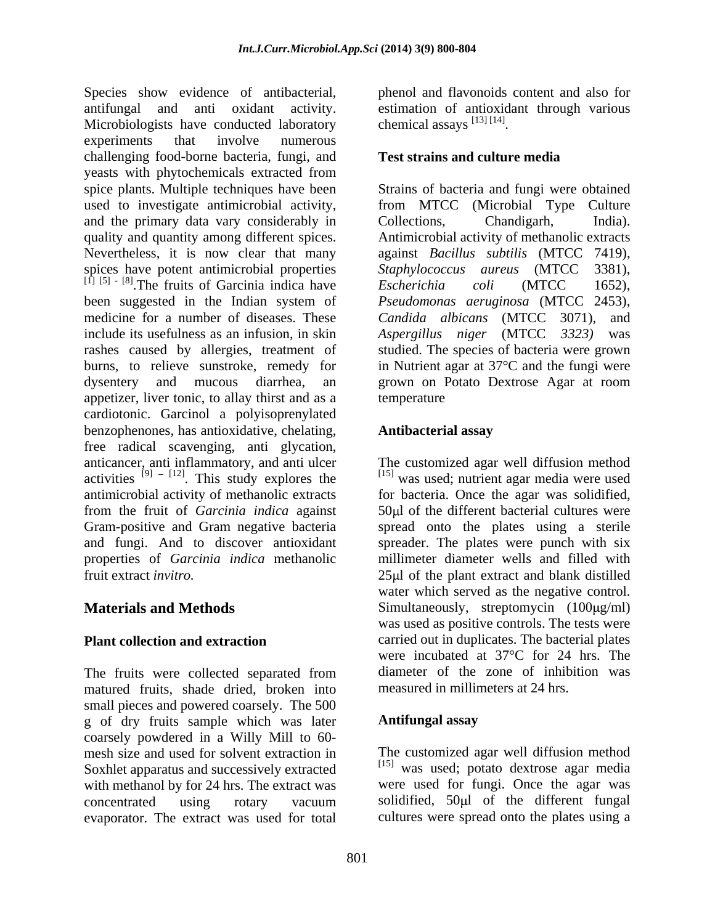Species show evidence of antibacterial, phenol and flavonoids content and also for antifungal and anti oxidant activity. estimation of antioxidant through various Microbiologists have conducted laboratory experiments that involve numerous challenging food-borne bacteria, fungi, and yeasts with phytochemicals extracted from spice plants. Multiple techniques have been Strains of bacteria and fungi were obtained used to investigate antimicrobial activity, from MTCC (Microbial Type Culture and the primary data vary considerably in Collections, Chandigarh, India). quality and quantity among different spices. Antimicrobial activity of methanolic extracts Nevertheless, it is now clear that many against *Bacillus subtilis* (MTCC 7419), spices have potent antimicrobial properties Staphylococcus aureus (MTCC 3381),  $^{[1]}$   $^{[5]}$  -  $^{[8]}$ . The fruits of Garcinia indica have Escherichia coli (MTCC 1652), been suggested in the Indian system of *Pseudomonas aeruginosa* (MTCC 2453), medicine for a number of diseases. These Candida albicans (MTCC 3071), and include its usefulness as an infusion, in skin *Aspergillus niger* (MTCC *3323)* was rashes caused by allergies, treatment of studied. The species of bacteria were grown burns, to relieve sunstroke, remedy for in Nutrient agar at 37°C and the fungi were dysentery and mucous diarrhea, an grown on Potato Dextrose Agar at room appetizer, liver tonic, to allay thirst and as a cardiotonic. Garcinol a polyisoprenylated benzophenones, has antioxidative, chelating, free radical scavenging, anti glycation, anticancer, anti inflammatory, and anti ulcer The customized agar well diffusion method activities  $[9] - [12]$ . This study explores the antimicrobial activity of methanolic extracts for bacteria. Once the agar was solidified, from the fruit of *Garcinia indica* against 50µl of the different bacterial cultures were Gram-positive and Gram negative bacteria spread onto the plates using a sterile and fungi. And to discover antioxidant properties of *Garcinia indica* methanolic millimeter diameter wells and filled with

The fruits were collected separated from matured fruits, shade dried, broken into small pieces and powered coarsely. The 500 g of dry fruits sample which was later coarsely powdered in a Willy Mill to 60 mesh size and used for solvent extraction in Soxhlet apparatus and successively extracted with methanol by for 24 hrs. The extract was concentrated using rotary vacuum evaporator. The extract was used for total

chemical assays  $^{[13]}$   $^{[14]}$ .

# **Test strains and culture media**

Collections, Chandigarh, India). **Staphylococcus** *aureus* (MTCC *Escherichia coli* (MTCC 1652), temperature experience of the state of the state of the state of the state of the state of the state of the state of the state of the state of the state of the state of the state of the state of the state of the state of t

# **Antibacterial assay**

. This study explores the  $[15]$  was used; nutrient agar media were used fruit extract *invitro*. 25 am 25 km and blank distilled **Materials and Methods** Simultaneously, streptomycin (100μg/ml) **Plant collection and extraction** carried out in duplicates. The bacterial plates spreader. The plates were punch with six water which served as the negative control. was used as positive controls. The tests were were incubated at 37°C for 24 hrs. The diameter of the zone of inhibition was measured in millimeters at 24 hrs.

# **Antifungal assay**

The customized agar well diffusion method  $[15]$  was used; potato dextrose agar media were used for fungi. Once the agar was solidified, 50µl of the different fungal cultures were spread onto the plates using a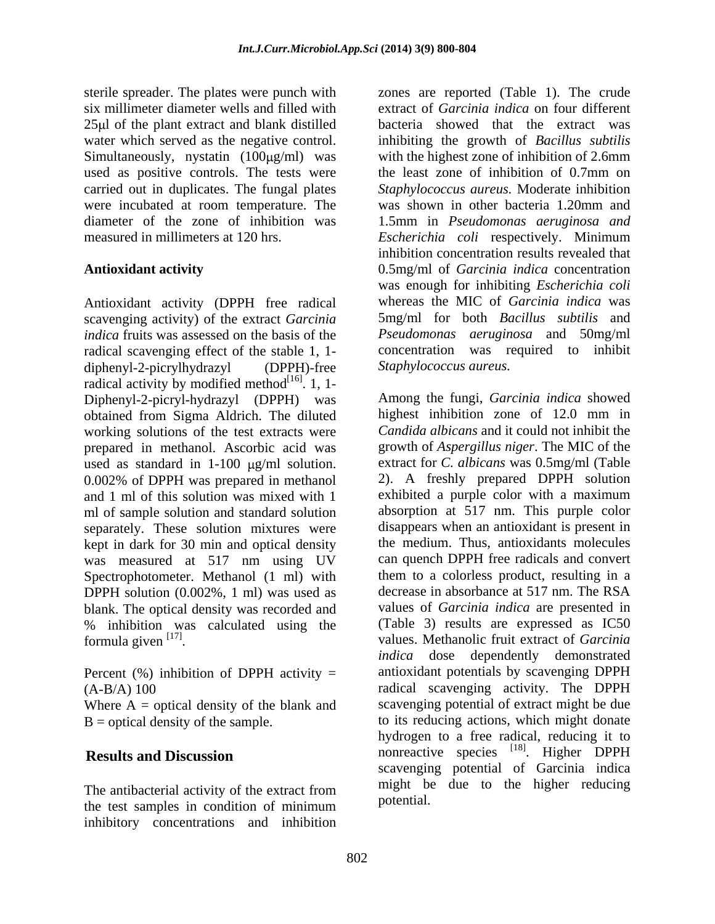six millimeter diameter wells and filled with 25 ul of the plant extract and blank distilled used as positive controls. The tests were the least zone of inhibition of 0.7mm on carried out in duplicates. The fungal plates measured in millimeters at 120 hrs. Escherichia coli respectively. Minimum

Antioxidant activity (DPPH free radical scavenging activity) of the extract *Garcinia indica* fruits was assessed on the basis of the *Pseudomonas aeruginosa* and 50mg/ml radical scavenging effect of the stable 1, 1 diphenyl-2-picrylhydrazyl (DPPH)-free radical activity by modified method $^{[16]}$ . 1, 1- $[16]$  1 1 . 1, 1- Diphenyl-2-picryl-hydrazyl (DPPH) was Among the fungi, *Garcinia indica* showed obtained from Sigma Aldrich The diluted highest inhibition zone of 12.0 mm in obtained from Sigma Aldrich. The diluted working solutions of the test extracts were prepared in methanol. Ascorbic acid was used as standard in  $1-100 \mu g/ml$  solution. 0.002% of DPPH was prepared in methanol ml of sample solution and standard solution separately. These solution mixtures were kept in dark for 30 min and optical density was measured at 517 nm using UV Spectrophotometer. Methanol (1 ml) with DPPH solution (0.002%, 1 ml) was used as blank. The optical density was recorded and % inhibition was calculated using the formula given  $[17]$ .

Percent  $(\%)$  inhibition of DPPH activity =

Where  $A =$  optical density of the blank and

The antibacterial activity of the extract from the test samples in condition of minimum inhibitory concentrations and inhibition

sterile spreader. The plates were punch with zones are reported (Table 1). The crude water which served as the negative control. inhibiting the growth of *Bacillus subtilis* Simultaneously, nystatin (100µg/ml) was with the highest zone of inhibition of 2.6mm were incubated at room temperature. The was shown in other bacteria 1.20mm and diameter of the zone of inhibition was 1.5mm in *Pseudomonas aeruginosa and* **Antioxidant activity**  0.5mg/ml of *Garcinia indica* concentration extract of *Garcinia indica* on four different bacteria showed that the extract was the least zone of inhibition of 0.7mm on *Staphylococcus aureus.* Moderate inhibition *Escherichia coli* respectively. Minimum inhibition concentration results revealed that was enough for inhibiting *Escherichia coli* whereas the MIC of *Garcinia indica* was 5mg/ml for both *Bacillus subtilis* and concentration was required to inhibit *Staphylococcus aureus.*

and 1 ml of this solution was mixed with 1 exhibited a purple color with a maximum formula given [17] . values. Methanolic fruit extract of *Garcinia*  (A-B/A) 100 radical scavenging activity. The DPPH B = optical density of the sample. to its reducing actions, which might donate **Results and Discussion Example 2018 Results and Discussion Example 2019 Results and Discussion** Among the fungi, *Garcinia indica* showed highest inhibition zone of 12.0 mm in *Candida albicans* and it could not inhibit the growth of *Aspergillus niger*. The MIC of the extract for *C. albicans* was 0.5mg/ml (Table 2). A freshly prepared DPPH solution absorption at 517 nm. This purple color disappears when an antioxidant is present in the medium. Thus, antioxidants molecules can quench DPPH free radicals and convert them to a colorless product, resulting in a decrease in absorbance at 517 nm. The RSA values of *Garcinia indica* are presented in (Table 3) results are expressed as IC50 *indica* dose dependently demonstrated antioxidant potentials by scavenging DPPH scavenging potential of extract might be due hydrogen to a free radical, reducing it to nonreactive species <sup>[18]</sup>. Higher DPPH . Higher DPPH scavenging potential of Garcinia indica might be due to the higher reducing potential.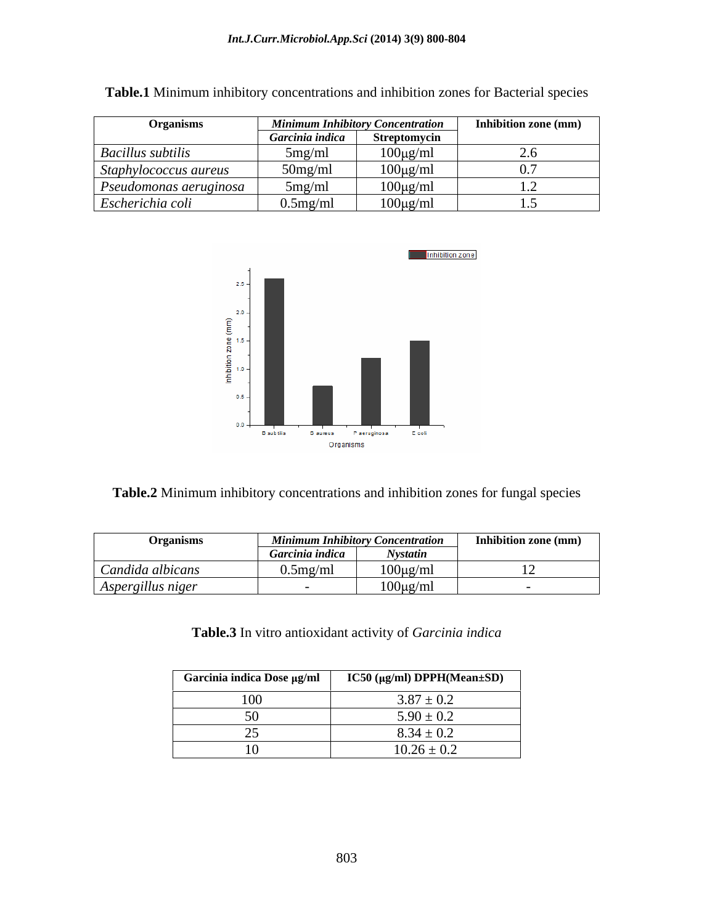| Organisms                |                 | <b>Minimum Inhibitory Concentration</b> | Inhibition zone (mm) |
|--------------------------|-----------------|-----------------------------------------|----------------------|
|                          | Garcinia indica | Streptomycin                            |                      |
| <b>Bacillus subtilis</b> | 5mg/ml          | $100\mu g/ml$                           | ∼…                   |
| Staphylococcus aureus    | $50$ mg/ml      | $100\mu\text{g/ml}$                     |                      |
| Pseudomonas aeruginosa   | 5mg/ml          | $100\mu g/ml$                           |                      |
| Escherichia coli         | $0.5$ mg/ml     | $100\mu g/ml$                           |                      |

**Table.1** Minimum inhibitory concentrations and inhibition zones for Bacterial species



**Table.2** Minimum inhibitory concentrations and inhibition zones for fungal species

| <b>Organisms</b>                                 | .<br>Minimu.    | ım Inhibitory Concentration | <b>Inhibition zone (mm)</b> |
|--------------------------------------------------|-----------------|-----------------------------|-----------------------------|
|                                                  | Garcinia indica | <b>Nystatin</b>             |                             |
| Candida albicans                                 | 0.5mg/ml        | $100\mu\text{g/ml}$         |                             |
| $\sim$ $\sim$ $\sim$<br>Aspergillus niger<br>. . |                 | $100\mu\text{g/ml}$<br>. .  |                             |

**Table.3** In vitro antioxidant activity of *Garcinia indica*

| Garcinia indica Dose μg/ml | IC50 (μg/ml) DPPH(Mean±SD) |
|----------------------------|----------------------------|
| $\mathbf{U}$               | $3.87 \pm 0.2$             |
|                            | $5.90 \pm 0.2$             |
|                            | $8.34 \pm 0.2$             |
|                            | $10.26 \pm 0.2$            |